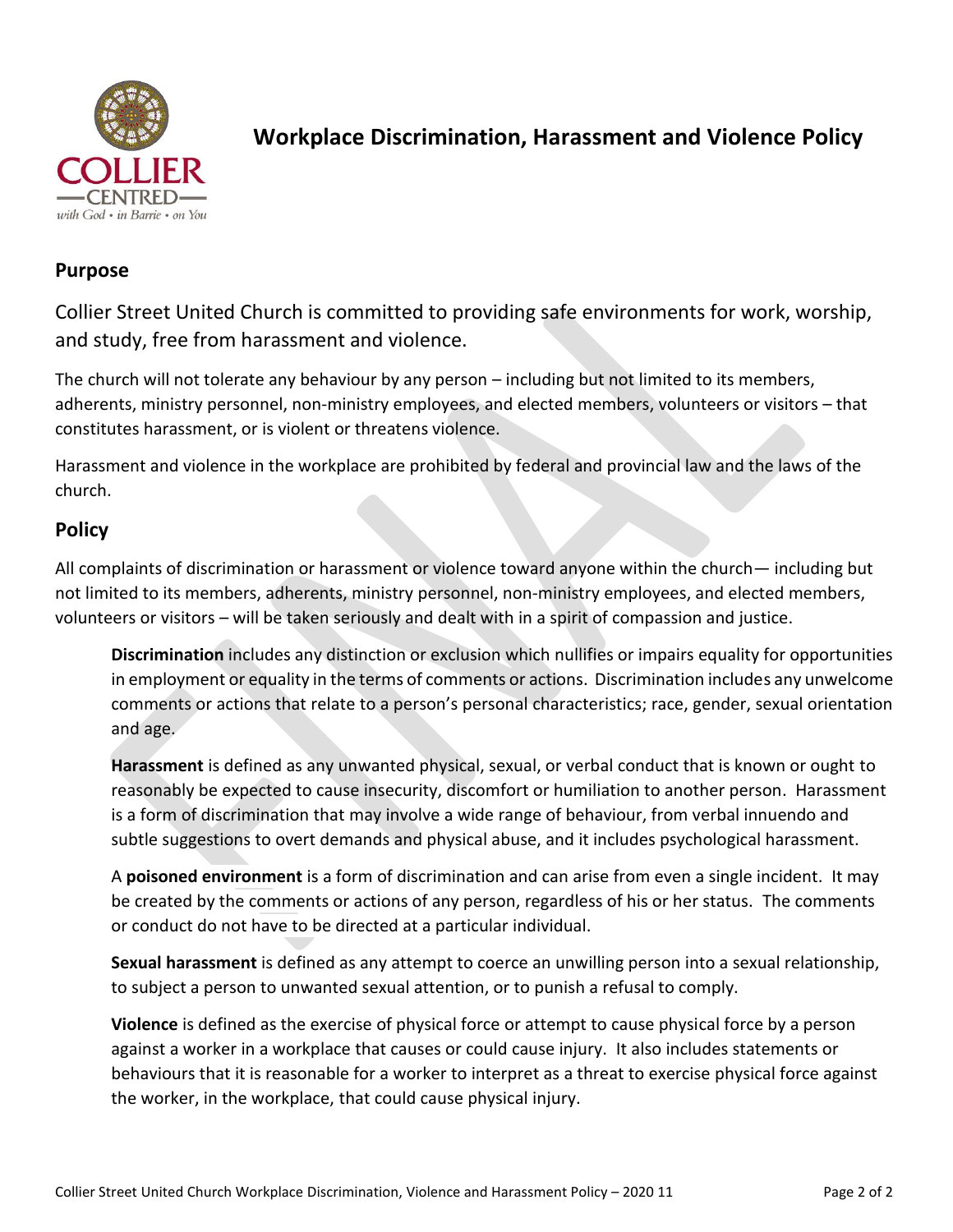

# **Workplace Discrimination, Harassment and Violence Policy**

## **Purpose**

Collier Street United Church is committed to providing safe environments for work, worship, and study, free from harassment and violence.

The church will not tolerate any behaviour by any person – including but not limited to its members, adherents, ministry personnel, non-ministry employees, and elected members, volunteers or visitors – that constitutes harassment, or is violent or threatens violence.

Harassment and violence in the workplace are prohibited by federal and provincial law and the laws of the church.

## **Policy**

All complaints of discrimination or harassment or violence toward anyone within the church— including but not limited to its members, adherents, ministry personnel, non-ministry employees, and elected members, volunteers or visitors – will be taken seriously and dealt with in a spirit of compassion and justice.

**Discrimination** includes any distinction or exclusion which nullifies or impairs equality for opportunities in employment or equality in the terms of comments or actions. Discrimination includes any unwelcome comments or actions that relate to a person's personal characteristics; race, gender, sexual orientation and age.

**Harassment** is defined as any unwanted physical, sexual, or verbal conduct that is known or ought to reasonably be expected to cause insecurity, discomfort or humiliation to another person. Harassment is a form of discrimination that may involve a wide range of behaviour, from verbal innuendo and subtle suggestions to overt demands and physical abuse, and it includes psychological harassment.

A **poisoned environment** is a form of discrimination and can arise from even a single incident. It may be created by the comments or actions of any person, regardless of his or her status. The comments or conduct do not have to be directed at a particular individual.

**Sexual harassment** is defined as any attempt to coerce an unwilling person into a sexual relationship, to subject a person to unwanted sexual attention, or to punish a refusal to comply.

**Violence** is defined as the exercise of physical force or attempt to cause physical force by a person against a worker in a workplace that causes or could cause injury. It also includes statements or behaviours that it is reasonable for a worker to interpret as a threat to exercise physical force against the worker, in the workplace, that could cause physical injury.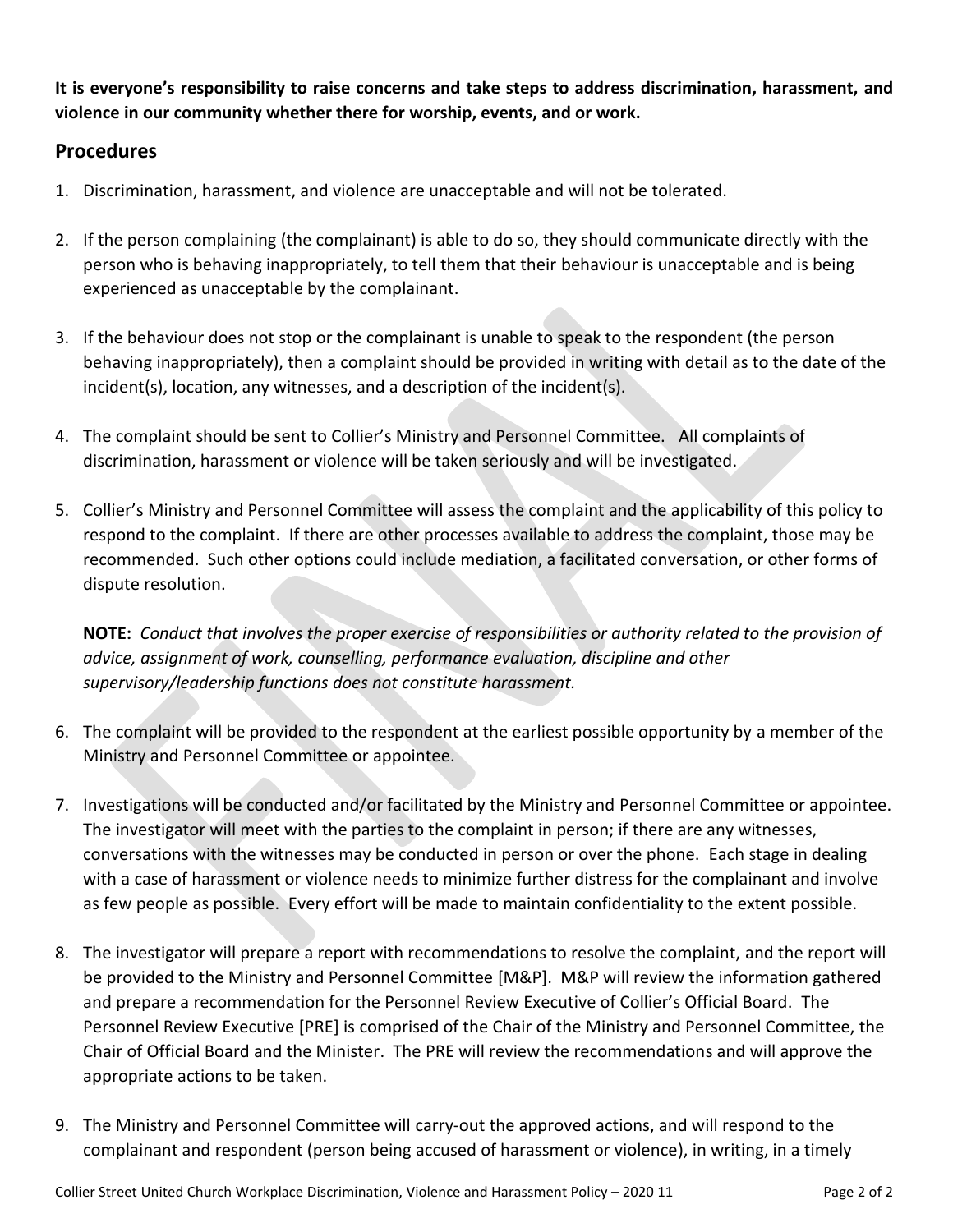**It is everyone's responsibility to raise concerns and take steps to address discrimination, harassment, and violence in our community whether there for worship, events, and or work.** 

### **Procedures**

- 1. Discrimination, harassment, and violence are unacceptable and will not be tolerated.
- 2. If the person complaining (the complainant) is able to do so, they should communicate directly with the person who is behaving inappropriately, to tell them that their behaviour is unacceptable and is being experienced as unacceptable by the complainant.
- 3. If the behaviour does not stop or the complainant is unable to speak to the respondent (the person behaving inappropriately), then a complaint should be provided in writing with detail as to the date of the incident(s), location, any witnesses, and a description of the incident(s).
- 4. The complaint should be sent to Collier's Ministry and Personnel Committee. All complaints of discrimination, harassment or violence will be taken seriously and will be investigated.
- 5. Collier's Ministry and Personnel Committee will assess the complaint and the applicability of this policy to respond to the complaint. If there are other processes available to address the complaint, those may be recommended. Such other options could include mediation, a facilitated conversation, or other forms of dispute resolution.

**NOTE:** *Conduct that involves the proper exercise of responsibilities or authority related to the provision of advice, assignment of work, counselling, performance evaluation, discipline and other supervisory/leadership functions does not constitute harassment.*

- 6. The complaint will be provided to the respondent at the earliest possible opportunity by a member of the Ministry and Personnel Committee or appointee.
- 7. Investigations will be conducted and/or facilitated by the Ministry and Personnel Committee or appointee. The investigator will meet with the parties to the complaint in person; if there are any witnesses, conversations with the witnesses may be conducted in person or over the phone. Each stage in dealing with a case of harassment or violence needs to minimize further distress for the complainant and involve as few people as possible. Every effort will be made to maintain confidentiality to the extent possible.
- 8. The investigator will prepare a report with recommendations to resolve the complaint, and the report will be provided to the Ministry and Personnel Committee [M&P]. M&P will review the information gathered and prepare a recommendation for the Personnel Review Executive of Collier's Official Board. The Personnel Review Executive [PRE] is comprised of the Chair of the Ministry and Personnel Committee, the Chair of Official Board and the Minister. The PRE will review the recommendations and will approve the appropriate actions to be taken.
- 9. The Ministry and Personnel Committee will carry-out the approved actions, and will respond to the complainant and respondent (person being accused of harassment or violence), in writing, in a timely